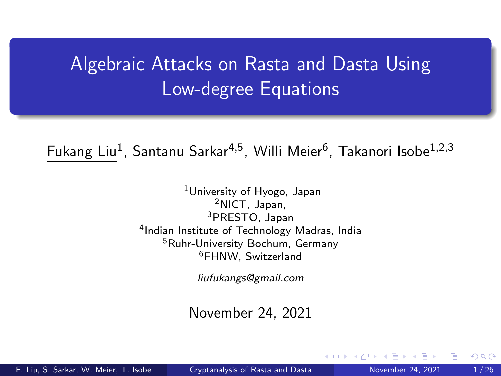# <span id="page-0-0"></span>Algebraic Attacks on Rasta and Dasta Using Low-degree Equations

Fukang Liu<sup>1</sup>, Santanu Sarkar<sup>4,5</sup>, Willi Meier<sup>6</sup>, Takanori Isobe<sup>1,2,3</sup>

University of Hyogo, Japan NICT, Japan, PRESTO, Japan Indian Institute of Technology Madras, India Ruhr-University Bochum, Germany FHNW, Switzerland

liufukangs@gmail.com

November 24, 2021

F. Liu, S. Sarkar, W. Meier, T. Isobe [Cryptanalysis of Rasta and Dasta](#page-25-0) November 24, 2021 1/26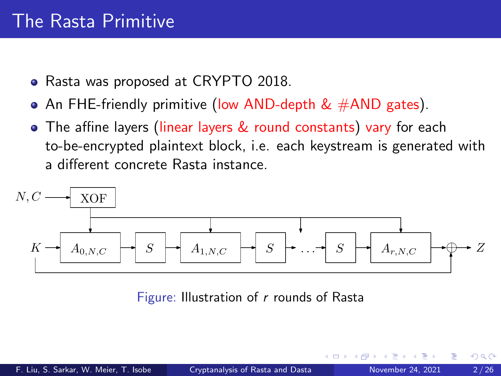- Rasta was proposed at CRYPTO 2018.
- An FHE-friendly primitive (low AND-depth  $\&$  #AND gates).
- The affine layers (linear layers & round constants) vary for each to-be-encrypted plaintext block, i.e. each keystream is generated with a different concrete Rasta instance.



Figure: Illustration of r rounds of Rasta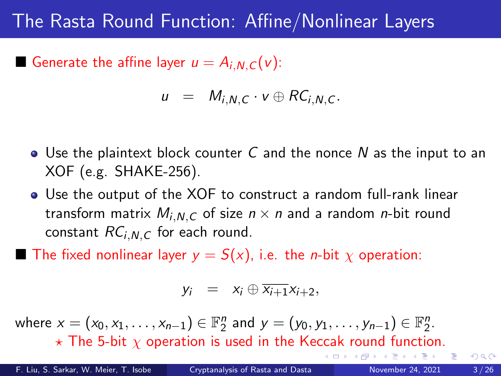## The Rasta Round Function: Affine/Nonlinear Layers

Generate the affine layer  $u = A_{i,N,C}(v)$ :

$$
u = M_{i,N,C} \cdot v \oplus RC_{i,N,C}.
$$

- $\bullet$  Use the plaintext block counter C and the nonce N as the input to an XOF (e.g. SHAKE-256).
- Use the output of the XOF to construct a random full-rank linear transform matrix  $M_{i,N,C}$  of size  $n \times n$  and a random *n*-bit round constant  $RC_{i.N.C}$  for each round.
- **The fixed nonlinear layer**  $y = S(x)$ **, i.e. the** *n***-bit**  $\chi$  **operation:**

$$
y_i = x_i \oplus \overline{x_{i+1}} x_{i+2},
$$

where  $x = (x_0, x_1, \ldots, x_{n-1}) \in \mathbb{F}_2^n$  and  $y = (y_0, y_1, \ldots, y_{n-1}) \in \mathbb{F}_2^n$ .  $\star$  The 5-bit  $\chi$  operation is used in the Keccak round function.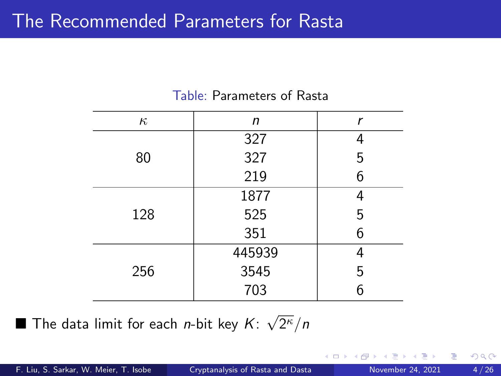## The Recommended Parameters for Rasta

| $\kappa$ | n      |   |
|----------|--------|---|
| 80       | 327    | 4 |
|          | 327    | 5 |
|          | 219    | 6 |
| 128      | 1877   | 4 |
|          | 525    | 5 |
|          | 351    | 6 |
| 256      | 445939 | 4 |
|          | 3545   | 5 |
|          | 703    | ĥ |
|          |        |   |

#### Table: Parameters of Rasta

 $\blacksquare$  The data limit for each *n*-bit key  $\mathcal{K}$ :  $\sqrt{ }$  $\overline{2^\kappa}/\mathsf{n}$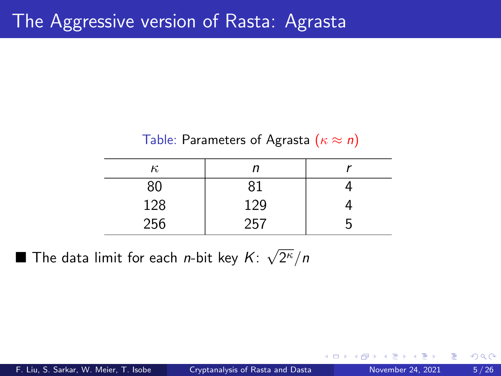| Table: Parameters of Agrasta ( $\kappa \approx n$ ) |     |  |  |
|-----------------------------------------------------|-----|--|--|
| к,                                                  |     |  |  |
| 80                                                  | 81  |  |  |
| 128                                                 | 129 |  |  |
| 256                                                 | 257 |  |  |

Table: Parameters of Agrasta  $(\kappa \approx n)$ 

 $\blacksquare$  The data limit for each *n*-bit key  $\mathcal{K}$ :  $\sqrt{ }$  $\overline{2^\kappa}/\mathsf{n}$ 

4 D F

э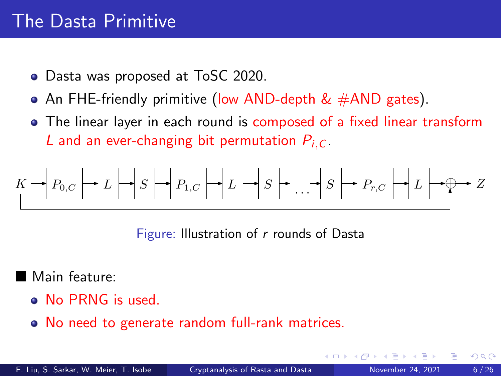## The Dasta Primitive

- Dasta was proposed at ToSC 2020.
- An FHE-friendly primitive (low AND-depth  $& #AND$  gates).
- The linear layer in each round is composed of a fixed linear transform L and an ever-changing bit permutation  $P_{i,C}$ .

$$
K \rightarrow P_{0,C} \rightarrow L \rightarrow S \rightarrow P_{1,C} \rightarrow L \rightarrow S \rightarrow P_{r,C} \rightarrow L \rightarrow \emptyset \rightarrow Z
$$

Figure: Illustration of r rounds of Dasta

- Main feature:
	- No PRNG is used.
	- No need to generate random full-rank matrices.

 $200$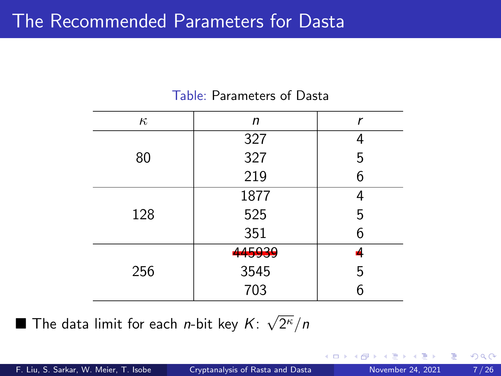## The Recommended Parameters for Dasta

| n      |   |
|--------|---|
| 327    | 4 |
| 327    | 5 |
| 219    | 6 |
| 1877   | 4 |
| 525    | 5 |
| 351    | 6 |
| 445939 | 4 |
| 3545   | 5 |
| 703    | 6 |
|        |   |

#### Table: Parameters of Dasta

 $\blacksquare$  The data limit for each *n*-bit key  $\mathcal{K}$ :  $\sqrt{ }$  $\overline{2^\kappa}/\mathsf{n}$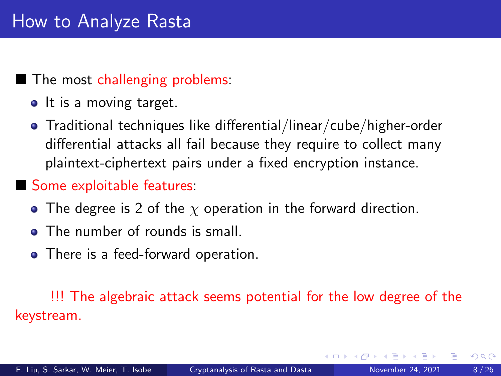#### ■ The most challenging problems:

- It is a moving target.
- Traditional techniques like differential/linear/cube/higher-order differential attacks all fail because they require to collect many plaintext-ciphertext pairs under a fixed encryption instance.

### ■ Some exploitable features:

- The degree is 2 of the  $\chi$  operation in the forward direction.
- The number of rounds is small.
- There is a feed-forward operation.

#### !!! The algebraic attack seems potential for the low degree of the keystream.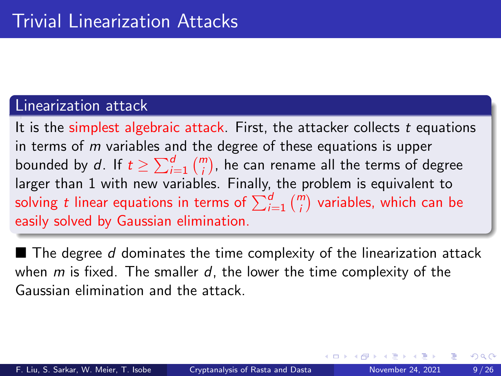#### Linearization attack

It is the simplest algebraic attack. First, the attacker collects  $t$  equations in terms of  $m$  variables and the degree of these equations is upper bounded by  $d.$  If  $t \geq \sum_{i=1}^d\binom{m}{i}.$  he can rename all the terms of degree larger than 1 with new variables. Finally, the problem is equivalent to solving  $t$  linear equations in terms of  $\sum_{i=1}^d\binom{m}{i}$  variables, which can be easily solved by Gaussian elimination.

 $\blacksquare$  The degree d dominates the time complexity of the linearization attack when  $m$  is fixed. The smaller  $d$ , the lower the time complexity of the Gaussian elimination and the attack.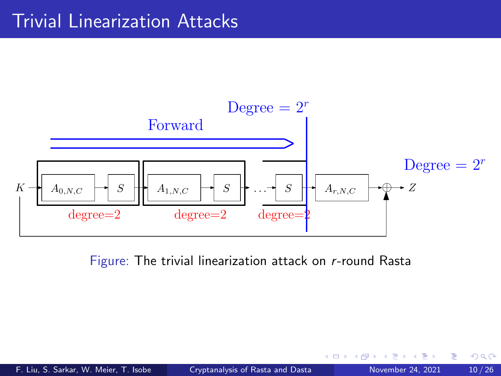

Figure: The trivial linearization attack on r-round Rasta

4 □

 $299$ 

Þ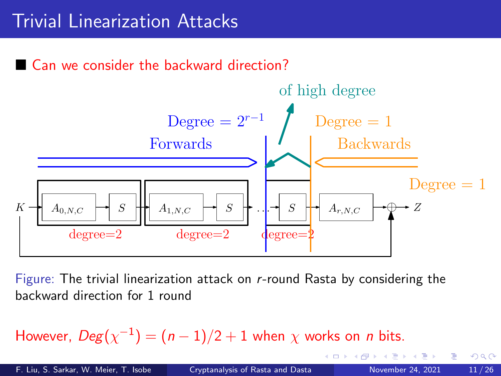# Trivial Linearization Attacks



Figure: The trivial linearization attack on r-round Rasta by considering the backward direction for 1 round

However,  $Deg(\chi^{-1}) = (n-1)/2 + 1$  when  $\chi$  works on n bits.

 $299$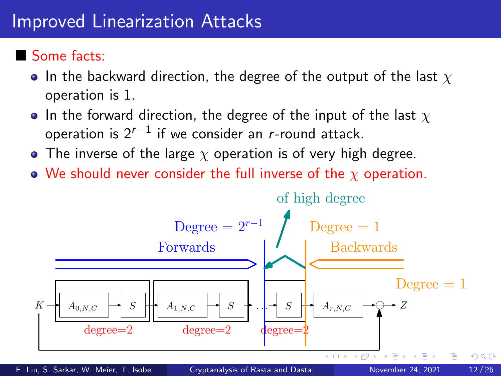## Improved Linearization Attacks

## ■ Some facts:

- In the backward direction, the degree of the output of the last  $\chi$ operation is 1.
- In the forward direction, the degree of the input of the last  $\chi$ operation is  $2^{r-1}$  if we consider an *r*-round attack.
- The inverse of the large  $\chi$  operation is of very high degree.
- We should never consider the full inverse of the  $\chi$  operation.

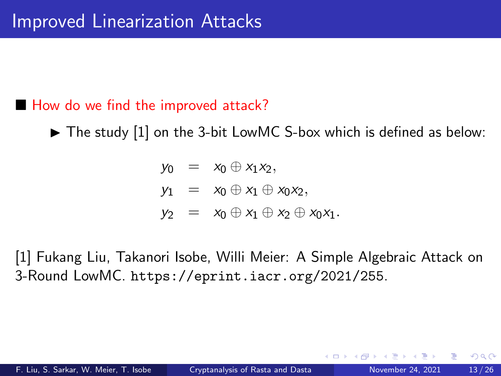$\blacktriangleright$  The study [1] on the 3-bit LowMC S-box which is defined as below:

 $y_0 = x_0 \oplus x_1x_2$ 

$$
y_1 = x_0 \oplus x_1 \oplus x_0x_2,
$$

$$
y_2 = x_0 \oplus x_1 \oplus x_2 \oplus x_0x_1.
$$

[1] Fukang Liu, Takanori Isobe, Willi Meier: A Simple Algebraic Attack on 3-Round LowMC. <https://eprint.iacr.org/2021/255>.

 $\Omega$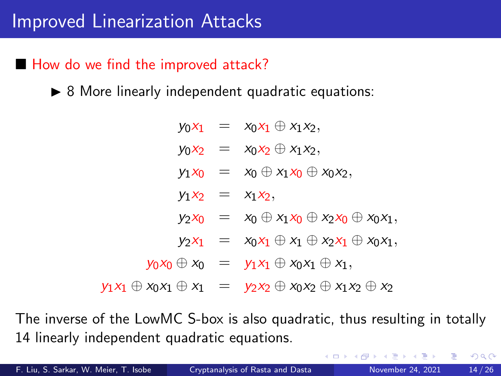▶ 8 More linearly independent quadratic equations:

 $y_0x_1 = x_0x_1 \oplus x_1x_2$  $y_0x_2 = x_0x_2 \oplus x_1x_2$  $y_1x_0 = x_0 \oplus x_1x_0 \oplus x_0x_2$  $y_1x_2 = x_1x_2$  $y_2x_0 = x_0 \oplus x_1x_0 \oplus x_2x_0 \oplus x_0x_1$  $y_2x_1 = x_0x_1 \oplus x_1 \oplus x_2x_1 \oplus x_0x_1$  $y_0x_0 \oplus x_0 = y_1x_1 \oplus x_0x_1 \oplus x_1$  $y_1x_1 \oplus x_0x_1 \oplus x_1 = y_2x_2 \oplus x_0x_2 \oplus x_1x_2 \oplus x_2$ 

The inverse of the LowMC S-box is also quadratic, thus resulting in totally 14 linearly independent quadratic equations.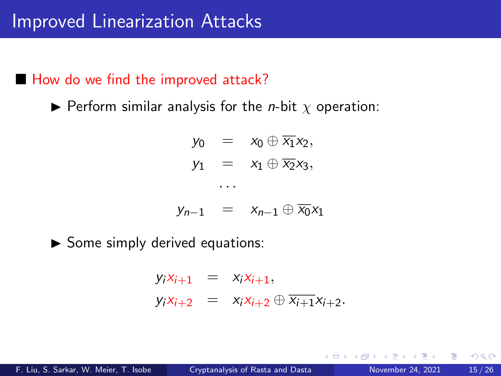$\blacktriangleright$  Perform similar analysis for the *n*-bit  $\chi$  operation:

$$
y_0 = x_0 \oplus \overline{x_1} x_2,
$$
  
\n
$$
y_1 = x_1 \oplus \overline{x_2} x_3,
$$
  
\n...  
\n
$$
y_{n-1} = x_{n-1} \oplus \overline{x_0} x_1
$$

▶ Some simply derived equations:

$$
y_i x_{i+1} = x_i x_{i+1},
$$
  

$$
y_i x_{i+2} = x_i x_{i+2} \oplus \overline{x_{i+1}} x_{i+2}.
$$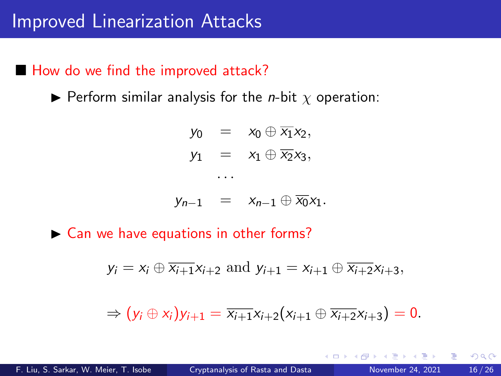$\blacktriangleright$  Perform similar analysis for the *n*-bit  $\chi$  operation:

$$
y_0 = x_0 \oplus \overline{x_1} x_2,
$$
  
\n
$$
y_1 = x_1 \oplus \overline{x_2} x_3,
$$
  
\n...  
\n
$$
y_{n-1} = x_{n-1} \oplus \overline{x_0} x_1.
$$

▶ Can we have equations in other forms?

$$
y_i = x_i \oplus \overline{x_{i+1}} x_{i+2} \text{ and } y_{i+1} = x_{i+1} \oplus \overline{x_{i+2}} x_{i+3},
$$

$$
\Rightarrow (y_i \oplus x_i)y_{i+1} = \overline{x_{i+1}}x_{i+2}(x_{i+1} \oplus \overline{x_{i+2}}x_{i+3}) = 0.
$$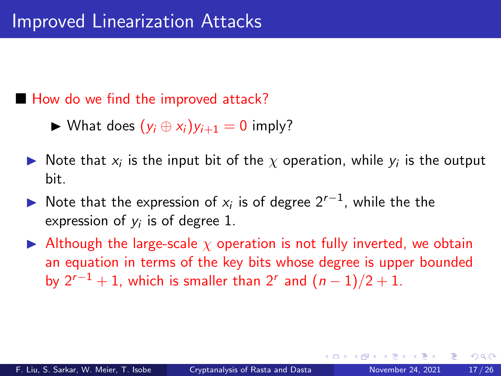- ▶ What does  $(y_i \oplus x_i)y_{i+1} = 0$  imply?
- $\blacktriangleright$  Note that  $x_i$  is the input bit of the  $\chi$  operation, while  $y_i$  is the output bit.
- ▶ Note that the expression of  $x_i$  is of degree  $2^{r-1}$ , while the the expression of  $y_i$  is of degree 1.
- $\blacktriangleright$  Although the large-scale  $\chi$  operation is not fully inverted, we obtain an equation in terms of the key bits whose degree is upper bounded by  $2^{r-1}+1$ , which is smaller than  $2^r$  and  $(n-1)/2+1$ .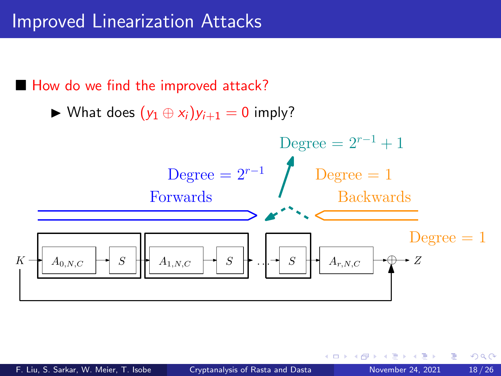▶ What does  $(y_1 \oplus x_i)y_{i+1} = 0$  imply?



 $200$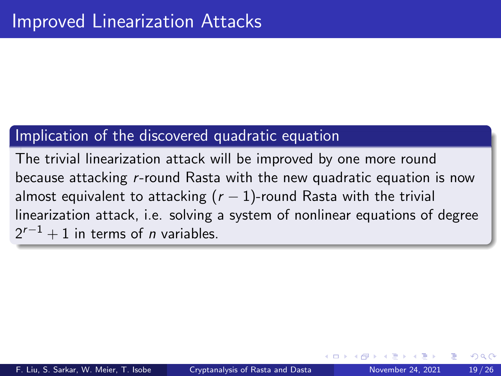#### Implication of the discovered quadratic equation

The trivial linearization attack will be improved by one more round because attacking r-round Rasta with the new quadratic equation is now almost equivalent to attacking  $(r - 1)$ -round Rasta with the trivial linearization attack, i.e. solving a system of nonlinear equations of degree  $2^{r-1}+1$  in terms of *n* variables.

つへへ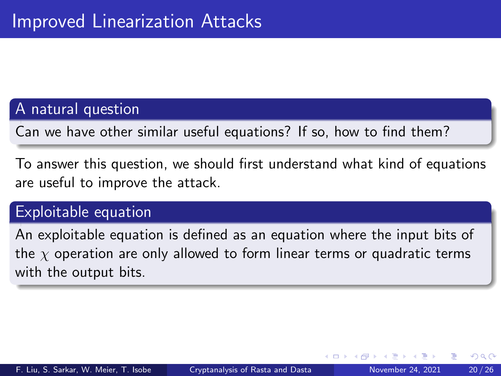#### A natural question

Can we have other similar useful equations? If so, how to find them?

To answer this question, we should first understand what kind of equations are useful to improve the attack.

#### Exploitable equation

An exploitable equation is defined as an equation where the input bits of the  $\chi$  operation are only allowed to form linear terms or quadratic terms with the output bits.

 $200$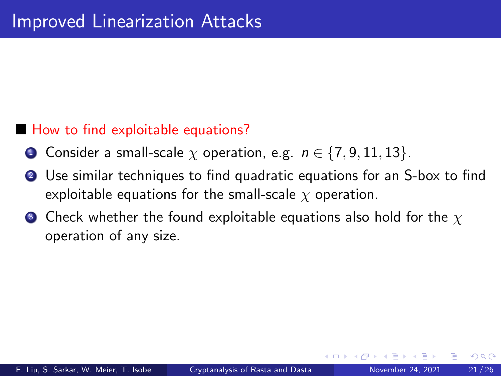#### ■ How to find exploitable equations?

- **1** Consider a small-scale  $\chi$  operation, e.g.  $n \in \{7, 9, 11, 13\}$ .
- <sup>2</sup> Use similar techniques to find quadratic equations for an S-box to find exploitable equations for the small-scale  $\chi$  operation.
- Check whether the found exploitable equations also hold for the  $\chi$ operation of any size.

 $\Omega$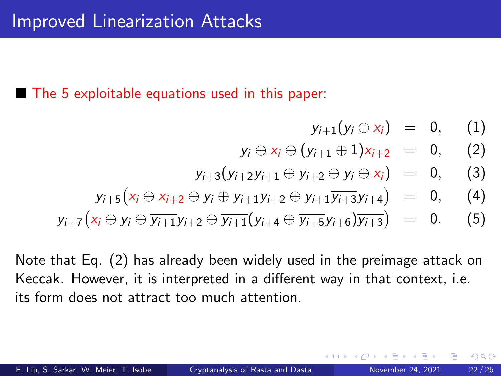■ The 5 exploitable equations used in this paper:

 $y_{i+1}(y_i \oplus x_i) = 0,$  (1)

$$
y_i \oplus x_i \oplus (y_{i+1} \oplus 1)x_{i+2} = 0, \qquad (2)
$$

$$
y_{i+3}(y_{i+2}y_{i+1}\oplus y_{i+2}\oplus y_i\oplus x_i) = 0, \quad (3)
$$

$$
y_{i+5}(x_i \oplus x_{i+2} \oplus y_i \oplus y_{i+1}y_{i+2} \oplus y_{i+1}\overline{y_{i+3}}y_{i+4}) = 0, \quad (4)
$$

$$
y_{i+7}(x_i \oplus y_i \oplus \overline{y_{i+1}}y_{i+2} \oplus \overline{y_{i+1}}(y_{i+4} \oplus \overline{y_{i+5}}y_{i+6})\overline{y_{i+3}}) = 0. \qquad (5)
$$

Note that Eq. (2) has already been widely used in the preimage attack on Keccak. However, it is interpreted in a different way in that context, i.e. its form does not attract too much attention.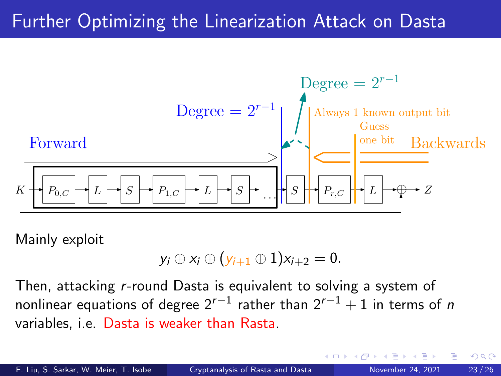# Further Optimizing the Linearization Attack on Dasta



Mainly exploit

## $y_i \oplus x_i \oplus (y_{i+1} \oplus 1)x_{i+2} = 0.$

Then, attacking r-round Dasta is equivalent to solving a system of nonlinear equations of degree  $2^{r-1}$  rather than  $2^{r-1}+1$  in terms of  $\emph{n}$ variables, i.e. Dasta is weaker than Rasta.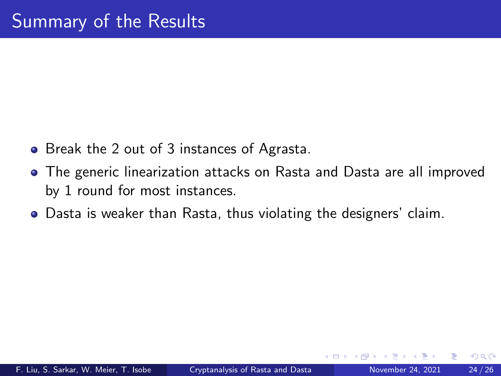- Break the 2 out of 3 instances of Agrasta.
- The generic linearization attacks on Rasta and Dasta are all improved by 1 round for most instances.
- Dasta is weaker than Rasta, thus violating the designers' claim.

 $\Omega$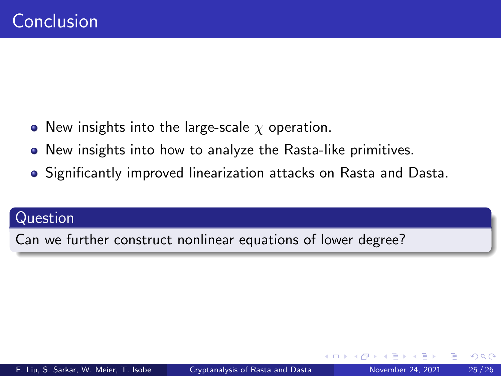- New insights into the large-scale  $\chi$  operation.
- New insights into how to analyze the Rasta-like primitives.
- Significantly improved linearization attacks on Rasta and Dasta.

#### Question

Can we further construct nonlinear equations of lower degree?